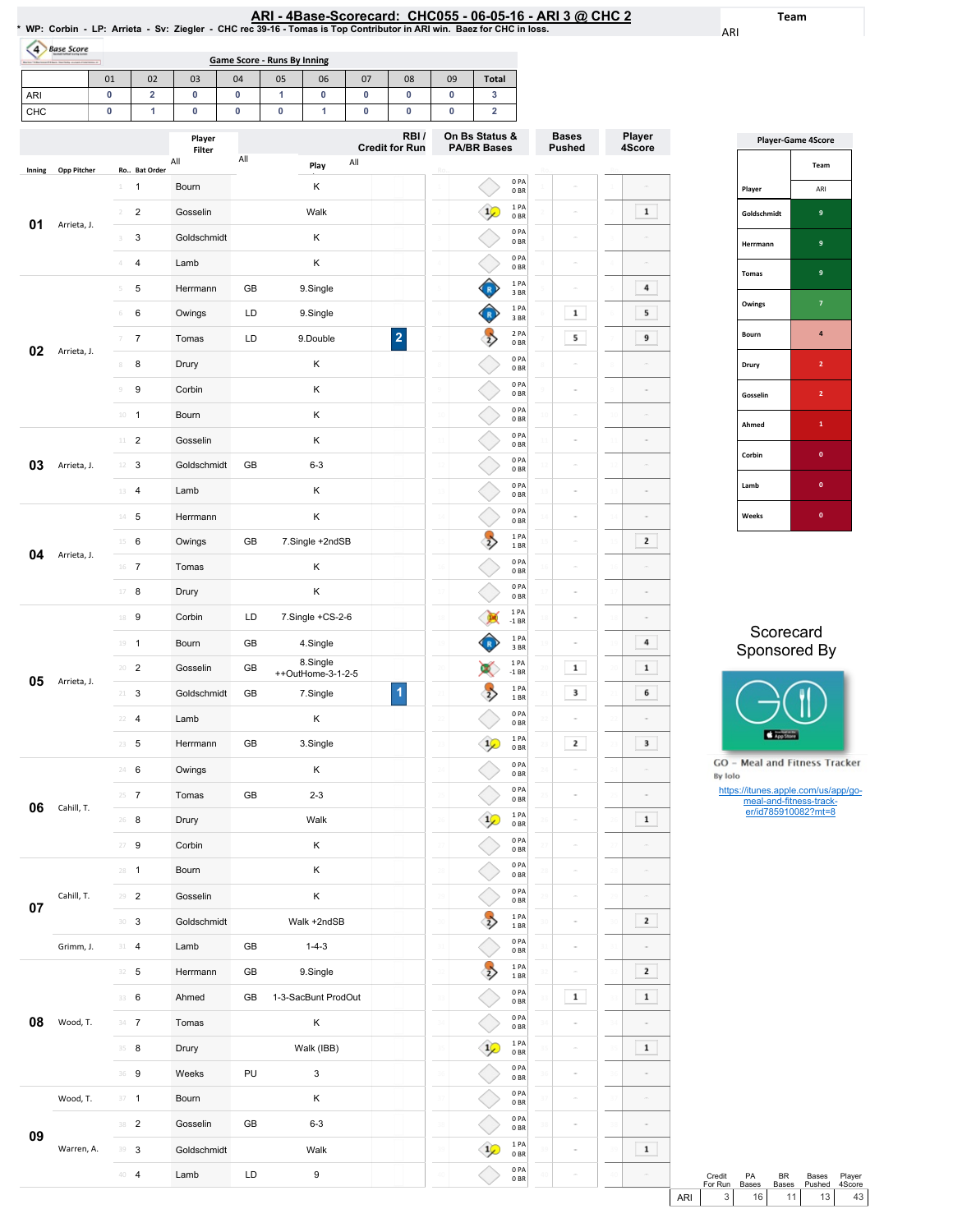| RI - 4Base-Scorecard:  CHC055 - 06-05-16 - ARI 3 @ CHC 2            |
|---------------------------------------------------------------------|
| 39-16 - Tomas is Top Contributor in ARI win.  Baez for CHC in loss. |

 $\begin{array}{c} 1 \text{ PA} \\ 1 \text{ BR} \end{array}$ 0PA 0BR 0PA 0BR 1PA 0BR 0PA 0BR 0PA 0BR 0PA 0BR 1PA 0BR 0PA 0BR

 $\left\langle \frac{1}{2} \right\rangle$ 

◇

 $\Diamond$ 

 $\mathcal{P}$ 

◇

€

◇

 $\overline{12}$ 

◇

 $\sim$ 

 $\begin{array}{|c|} \hline \textbf{1} \end{array}$ 

 $\sim$ 

 $\sim$ 

 $\sim$ 

 $\sim$ 

 $\sim$ 

 $\alpha$ 

 $\sim$ 

Team

ARI

Ro..

Player 4Score

 $\alpha$  $\boxed{1}$  $\alpha$ 

 $\sqrt{4}$  $5\overline{5}$  $9$  $\sim$  $\alpha$  $\sim$  $\alpha$  $\sim$  $\alpha$  $\alpha$  $\overline{2}$  $\ddot{\phantom{a}}$  $\bar{a}$  $\sim$  $\,$  4  $\,$  $\begin{array}{|c|} \hline \textbf{1} \end{array}$  $6\overline{6}$  $\sigma$ 

 $\overline{\mathbf{3}}$ 

 $\omega$ 

 $\alpha$  $\boxed{1}$ 

 $\bar{a}$  $\alpha$  $\overline{2}$ 

 $\overline{\mathbf{2}}$ 

 $\boxed{1}$ 

 $\bar{a}$ 

 $\boxed{1}$ 

 $\sim$ 

 $\mathbf 1$ 

 $\overline{\phantom{a}}$ 

| $\overline{4}$    | <b>Base Score</b>  |                |                         |                         |         |                             |                               |         |                               |                          |                                         |                        |
|-------------------|--------------------|----------------|-------------------------|-------------------------|---------|-----------------------------|-------------------------------|---------|-------------------------------|--------------------------|-----------------------------------------|------------------------|
|                   |                    |                |                         |                         |         | Game Score - Runs By Inning |                               |         |                               |                          |                                         |                        |
| ARI               |                    | 01<br>0        | 02<br>2                 | 03<br>0                 | 04<br>0 | 05<br>1                     | 06<br>0                       | 07<br>0 | 08<br>0                       | 09<br>0                  | Total<br>3                              |                        |
| CHC               |                    | 0              | 1                       | 0                       | 0       | 0                           | 1                             | 0       | 0                             | 0                        | 2                                       |                        |
|                   |                    |                |                         | Player<br><b>Filter</b> |         |                             |                               |         | RBI/<br><b>Credit for Run</b> |                          | On Bs Status &<br><b>PA/BR Bases</b>    | <b>Bases</b><br>Pushed |
| Inning            | <b>Opp Pitcher</b> |                | Ro Bat Order            | All                     | All     |                             | Play                          | All     |                               |                          |                                         |                        |
|                   |                    |                | 1                       | Bourn                   |         |                             | κ                             |         |                               |                          | 0PA<br>0 <sub>BR</sub>                  |                        |
|                   |                    | 2              | $\overline{\mathbf{c}}$ | Gosselin                |         |                             | Walk                          |         |                               |                          | 1 PA                                    |                        |
| 01                | Arrieta, J.        |                |                         |                         |         |                             |                               |         |                               |                          | 0 <sub>BR</sub><br>0PA                  |                        |
|                   |                    | 3              | 3                       | Goldschmidt             |         |                             | κ                             |         |                               |                          | 0 <sub>BR</sub>                         |                        |
|                   |                    | 4              | 4                       | Lamb                    |         |                             | Κ                             |         |                               |                          | 0PA<br>0 <sub>BR</sub>                  |                        |
|                   |                    | 5              | 5                       | Herrmann                | GB      |                             | 9.Single                      |         |                               |                          | 1PA<br>3BR                              |                        |
|                   |                    | 6              | 6                       | Owings                  | LD      |                             | 9.Single                      |         |                               |                          | 1PA<br>3BR                              | 1                      |
|                   |                    |                | 7                       | Tomas                   | LD      |                             | 9.Double                      |         | $\overline{\mathbf{2}}$       |                          | 2 PA<br>0 <sub>BR</sub>                 | 5                      |
| 02                | Arrieta, J.        | 8              | 8                       | Drury                   |         |                             | κ                             |         |                               | $\bar{z}$                | 0 PA                                    |                        |
|                   |                    |                |                         |                         |         |                             |                               |         |                               |                          | 0 <sub>BR</sub><br>0 PA                 |                        |
|                   |                    | $\mathcal G$   | 9                       | Corbin                  |         |                             | κ                             |         |                               |                          | 0 <sub>BR</sub><br>0PA                  |                        |
|                   |                    | $10 -$         | $\mathbf{1}$            | Bourn                   |         |                             | Κ                             |         |                               | 10                       | 0 <sub>BR</sub>                         |                        |
| 03<br>Arrieta, J. | $11$               | $\overline{2}$ | Gosselin                |                         |         | Κ                           |                               |         |                               | 0PA<br>0 <sub>BR</sub>   |                                         |                        |
|                   |                    | 12             | 3                       | Goldschmidt             | GB      |                             | $6 - 3$                       |         |                               |                          | 0PA<br>0 <sub>BR</sub>                  |                        |
|                   |                    |                | 13 4                    | Lamb                    |         |                             | κ                             |         |                               |                          | 0PA<br>0 <sub>BR</sub>                  |                        |
|                   |                    | $14 -$         | 5                       | Herrmann                |         |                             | κ                             |         |                               |                          | 0PA<br>0 <sub>BR</sub>                  |                        |
|                   |                    | 15             | 6                       | Owings                  | GB      |                             | 7.Single +2ndSB               |         |                               | 15                       | 1 PA                                    |                        |
| 04                | Arrieta, J.        |                |                         |                         |         |                             |                               |         |                               |                          | 1BR<br>0 PA                             |                        |
|                   |                    |                | 16 7                    | Tomas                   |         |                             | κ                             |         |                               |                          | 0 <sub>BR</sub><br>0PA                  |                        |
|                   |                    | 17             | 8                       | Drury                   |         |                             | Κ                             |         |                               |                          | 0 <sub>BR</sub>                         |                        |
|                   |                    | 18             | 9                       | Corbin                  | LD      |                             | 7.Single +CS-2-6              |         |                               | 18                       | 1 PA<br>$-1$ BR                         |                        |
|                   |                    | 19             | $\overline{1}$          | Bourn                   | GB      |                             | 4.Single                      |         |                               |                          | 1PA<br>3 BR                             |                        |
|                   |                    | 20             | $\overline{2}$          | Gosselin                | GB      |                             | 8.Single<br>++OutHome-3-1-2-5 |         |                               |                          | 1 PA<br>-1 BR                           | $\mathbf 1$            |
| 05                | Arrieta, J.        | 21             | 3                       | Goldschmidt             | GB      |                             | 7.Single                      |         | 1                             |                          | 1PA                                     | 3                      |
|                   |                    | 22             |                         |                         |         |                             | Κ                             |         |                               | 22                       | 1 BR<br>0PA                             |                        |
|                   |                    |                | 4                       | Lamb                    |         |                             |                               |         |                               |                          | 0 <sub>BR</sub><br>1PA                  |                        |
|                   |                    |                | $23 - 5$                | Herrmann                | GB      |                             | 3.Single                      |         |                               |                          | $\frac{1}{2}$<br>0 <sub>BR</sub>        | 2                      |
|                   |                    | 24             | 6                       | Owings                  |         |                             | Κ                             |         |                               | 24                       | 0PA<br>0 <sub>BR</sub>                  |                        |
|                   | Cahill, T.         |                | $25 \t 7$               | Tomas                   | GB      |                             | $2 - 3$                       |         |                               | 25                       | 0PA<br>0 <sub>BR</sub>                  |                        |
| 06                |                    | 26             | 8                       | Drury                   |         |                             | Walk                          |         |                               | 26                       | 1PA<br>$\frac{1}{2}$<br>0 <sub>BR</sub> |                        |
|                   |                    | 27             | 9                       | Corbin                  |         |                             | Κ                             |         |                               | $\overline{\mathcal{L}}$ | 0PA<br>0 <sub>BR</sub>                  |                        |
|                   |                    |                | $28 - 1$                | Bourn                   |         |                             | Κ                             |         |                               | 28                       | 0PA                                     |                        |
|                   | Cahill, T.         |                |                         |                         |         |                             |                               |         |                               |                          | 0 <sub>BR</sub><br>0PA                  |                        |
| 07                |                    | 29             | $\overline{2}$          | Gosselin                |         |                             | Κ                             |         |                               | 29                       | 0 <sub>BR</sub>                         |                        |
|                   |                    |                | 30 <sup>3</sup>         | Goldschmidt             |         |                             | Walk +2ndSB                   |         |                               | 30                       | 1 PA<br>1 BR                            |                        |
|                   | Grimm, J.          |                | $31 - 4$                | Lamb                    | GB      |                             | $1 - 4 - 3$                   |         |                               |                          | 0PA<br>0 <sub>BR</sub>                  |                        |

08 Wood,T.

Warren,A.

09

32 5 Herrmann GB 9.Single 33 6 Ahmed GB 1-3-SacBunt ProdOut

34 7 Tomas K 35 8 Drury Walk(IBB) 36 9 Weeks PU 3

38 2 Gosselin GB 6-3 39 3 Goldschmidt **Walk** 40 4 Lamb LD 9

Wood, T. 37 1 Bourn K

|             | <b>Player-Game 4Score</b> |
|-------------|---------------------------|
|             | Team                      |
| Player      | ARI                       |
| Goldschmidt | 9                         |
| Herrmann    | 9                         |
| Tomas       | 9                         |
| Owings      | $\overline{z}$            |
| Bourn       | 4                         |
| Drury       | $\overline{2}$            |
| Gosselin    | $\overline{2}$            |
| Ahmed       | 1                         |
| Corbin      | $\mathbf{0}$              |
| Lamb        | $\mathbf{0}$              |
| Weeks       | 0                         |

# Scorecard Sponsored By



**GO** - Meal and Fitness Tracker By Iolo

https://itunes.apple.com/us/app/go-meal-and-fitness-track-er/id785910082?mt=8

|     | Credit<br>For Run | PA<br><b>Bases</b> | RR<br>Bases     | Bases<br>Pushed | Player<br>4Score |  |
|-----|-------------------|--------------------|-----------------|-----------------|------------------|--|
| ARI |                   | 161                | 11 <sup>1</sup> | 13 <sup>1</sup> | 43               |  |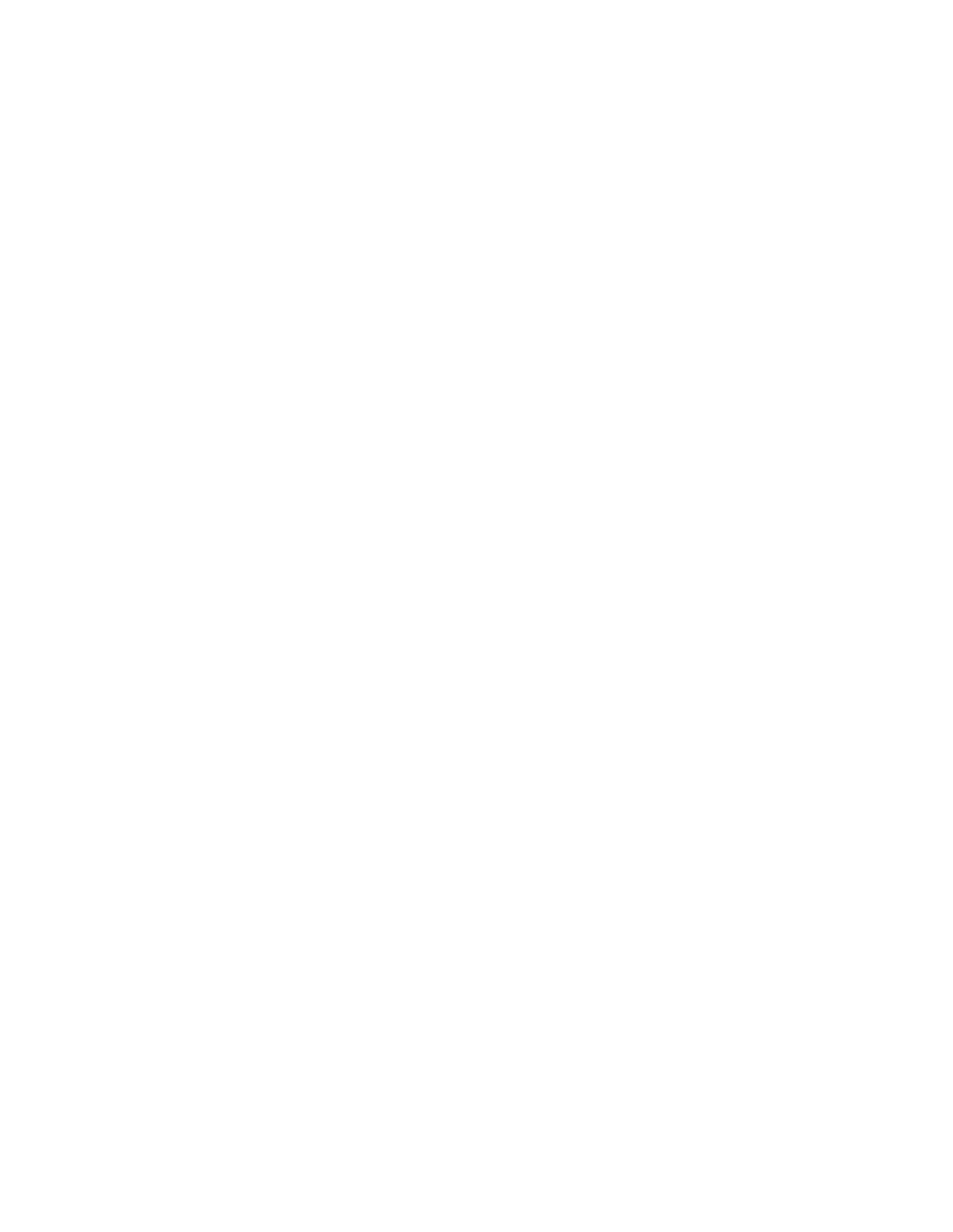| : 3 & RUELQ / 3 \$ UUHMD 6Y = LHJOHJ & + & UH |                    |                                | \$5,                 |                                      |                                        | $\frac{\%$ dvH6FRUHFDUG & + & \$5, # & + & \$FRPDVLV7RS&RQMLEXMRULQ\$5,ZLQ %DHJIRU& + & LQORW |         |        | d u<br>$Z\hspace{-0.1cm}/\hspace{0.1cm}$                                 |  |  |
|-----------------------------------------------|--------------------|--------------------------------|----------------------|--------------------------------------|----------------------------------------|-----------------------------------------------------------------------------------------------|---------|--------|--------------------------------------------------------------------------|--|--|
|                                               |                    |                                |                      | $\frac{1}{2}$ u ^ } OEr Zuv• C/vv]vP |                                        |                                                                                               |         |        |                                                                          |  |  |
|                                               | ìî<br>ìí           | ìï                             | ìð                   | ìñ<br>ìò                             | ìó<br>ìô                               | ìõ<br>d}šo                                                                                    |         |        |                                                                          |  |  |
| \$5,<br>$8 + 8$                               |                    |                                |                      |                                      |                                        |                                                                                               |         |        |                                                                          |  |  |
|                                               |                    | Wb Ç Œ                         |                      |                                      | $5\%$                                  | 2 Q%V 6 VDWXV                                                                                 | %DVHV   | 30 NHJ |                                                                          |  |  |
|                                               |                    | &loš Œ<br>$\pmb{\circledcirc}$ | $\pmb{\circledcirc}$ |                                      | & UHGLWIRU5 XQ<br>$\pmb{\circledcirc}$ | 3\$ %5 %DVHV                                                                                  | 3 XVKHG | 6FRUH  | WoÇŒE u ð^}Œ                                                             |  |  |
| /vv]vP K‰W)§Z0E                               | Z} XX ŠKOE C       | %RXLIQ                         |                      | ₩Ç                                   |                                        | i W                                                                                           |         |        | d u                                                                      |  |  |
|                                               | î                  | * RVVHOLD                      |                      | $\epsilon$ .<br>: D <sup>0</sup>     |                                        | $i$ Z<br>i W                                                                                  |         |        | $\mathbb{Z}^{\prime}$<br>Wo Ç Œ<br>$\tilde{\mathbf{o}}$                  |  |  |
| OC⊞šUX                                        |                    | * ROMFKP LGW                   |                      |                                      |                                        | $i$ Z<br>$\begin{array}{c} i & W \\ i & Z \end{array}$                                        |         |        | '}o• Zu]š                                                                |  |  |
|                                               | ï.                 |                                |                      | $\epsilon$                           |                                        |                                                                                               |         |        | $\tilde{\mathbf{o}}$<br><b>OBE</b> VV                                    |  |  |
|                                               | ð                  | $/$ DP E                       |                      | $\sim$                               |                                        | $\begin{array}{c} i \ W \\ i \ Z \end{array}$<br>i W                                          |         |        | $\tilde{\mathbf{o}}$<br>d}u ∙                                            |  |  |
|                                               | ñ                  | $+$ HUP DOQ                    | * $%$                | $61QJ$ $\Theta$                      |                                        | $i$ $z$<br>í W                                                                                |         |        | ó<br>KÁ]v <b>P</b> ∙                                                     |  |  |
|                                               | ò                  | 2 Z LQJ V                      | $\prime$ '           | $61QJ$ $\Theta$                      |                                        | $i$ $z$                                                                                       |         |        | ð<br>$\mu$ OE                                                            |  |  |
| 00手šUX                                        | ó                  | 7RP DV                         | $\prime$ .           | <b>RXE®</b>                          |                                        | $\begin{array}{c} 1 \text{ W} \\ 1 \text{ Z} \end{array}$                                     |         |        |                                                                          |  |  |
|                                               | ô                  | $'$ UKU                        |                      | $\mathcal{L}^{\pm}$                  |                                        | i W<br>$i$ Z                                                                                  |         |        | $\  \cdot \ $<br><b>CECE</b>                                             |  |  |
|                                               | õ                  | & RUELQ                        |                      | $\ddot{\phantom{1}}$                 |                                        | i W<br>$i$ Z                                                                                  |         |        | ' }⊷ dv<br>$\hat{1}$                                                     |  |  |
|                                               | f)                 | %RXLIQ                         |                      | $\cdot$                              |                                        | i W<br>ìZ                                                                                     |         |        | i.<br>Zu                                                                 |  |  |
|                                               | íí.                | * RVVHOLD                      |                      | $\blacksquare$                       |                                        | i W<br>$i$ Z                                                                                  |         |        | $\}$ OE]v<br>n.                                                          |  |  |
| 00手šUX                                        | íî                 | * ROMFKP LGW * %               |                      |                                      |                                        | i W<br>$i$ Z                                                                                  |         |        |                                                                          |  |  |
|                                               | íï                 | $/$ DP E                       |                      | $\bullet$                            |                                        | ì W<br>$i$ Z                                                                                  |         |        | j.<br>$> \mathrm{u}$                                                     |  |  |
|                                               | íŏ                 | $+$ HUP DOQ                    |                      |                                      |                                        | i W<br>$i$ Z                                                                                  |         |        | i.<br>$t - 1$                                                            |  |  |
|                                               | íñ                 | 2 Z LQJ V                      | * $%$                | 61QU6H QG6%                          |                                        | í W<br>$i$ $z$                                                                                |         |        |                                                                          |  |  |
| OC⊞šUX                                        | íò                 | 7RP DV                         |                      | $\cdot$                              |                                        | i W<br>$i$ Z                                                                                  |         |        |                                                                          |  |  |
|                                               | íó                 | ' UKU                          |                      | $\bullet$                            |                                        | i W<br>$i$ Z                                                                                  |         |        |                                                                          |  |  |
|                                               | íô                 | & RUELQ                        | $\prime$ .           | 6 Q J OH & 6                         |                                        | í W<br>rí Z                                                                                   |         |        |                                                                          |  |  |
|                                               | íõ                 | %RXLIQ                         | * $%$                | $61QJ$ $\Theta$                      |                                        | í W<br>$i$ $z$                                                                                |         |        | 6 FRU+FDLG                                                               |  |  |
|                                               | îì                 | * RVVHOLD                      | * %                  | $61QJ$ $O$                           |                                        | í W<br>rí Z                                                                                   |         |        | <b>6 SROVRUHG %</b>                                                      |  |  |
| 00≣šUX                                        | îí                 | * ROMFKP LGW                   | $*$ %                | 2 XW RP H<br>$61QJ$ $O$              |                                        | í W<br>$i$ $z$                                                                                |         |        |                                                                          |  |  |
|                                               | ÎÎ                 | / DP E                         |                      | $\sim$                               |                                        | i W                                                                                           |         |        |                                                                          |  |  |
|                                               | $\hat{\mathbb{H}}$ | $+$ HUP DOQ                    | $*$ %                | $61QJ$ $\Theta$                      |                                        | $i$ Z<br>i W                                                                                  |         |        |                                                                          |  |  |
|                                               | îŏ                 |                                |                      |                                      |                                        | i Z<br>i W                                                                                    |         |        |                                                                          |  |  |
|                                               |                    | 2 Z IQJ V                      |                      | $\mathcal{H}^{\text{max}}$           |                                        | i Z<br>i W                                                                                    |         |        |                                                                          |  |  |
| <b>ZjoldX</b>                                 | îñ                 | 7RP DV                         | $*$ %                |                                      |                                        | i Z<br>í W                                                                                    |         |        | KWOSY WACHYDSSOH FRP XVDSSJR<br>PHDODOG IWOHNYWDFN<br><b>HUIG</b><br>"PW |  |  |
|                                               | îò                 | ' UKU                          |                      | : DON                                |                                        | i Z<br>i W                                                                                    |         |        |                                                                          |  |  |
|                                               | îó                 | & RUELQ                        |                      | $\epsilon$                           |                                        | i Z<br>i W                                                                                    |         |        |                                                                          |  |  |
|                                               | îô                 | %RXLIQ                         |                      | $\bullet$                            |                                        | $i$ Z<br>i W                                                                                  |         |        |                                                                          |  |  |
| <b>ZjoldX</b>                                 | ÎÕ                 | * RVVHOLD                      |                      | $\sim$                               |                                        | i Z<br>i W                                                                                    |         |        |                                                                          |  |  |
|                                               | Tì.                | * ROMFKP LGW                   |                      | : DON: QG6%                          |                                        | $i$ $z$                                                                                       |         |        |                                                                          |  |  |
| 'Optiu UX                                     | ΪĹ                 | / DP E                         | $*$ %                |                                      |                                        | i W<br>$i$ Z                                                                                  |         |        |                                                                          |  |  |
|                                               | ΪÎ                 | $+$ HUP DOQ                    | $*$ %                | $61$ $Q$ $H$                         |                                        | í W<br>$i$ Z                                                                                  |         |        |                                                                          |  |  |
|                                               | $\top$             | \$KPHG                         | $*$ %                | 6 DF%XQ/8 URG2 XW                    |                                        | i W<br>i Z                                                                                    |         |        |                                                                          |  |  |
|                                               | ïð                 | 7RP DV                         |                      | $\sim 10^{-11}$                      |                                        | i W<br>$i$ Z                                                                                  |         |        |                                                                          |  |  |
|                                               | īñ                 | ' UXU                          |                      | : $DON \, ,\%$                       |                                        | í W<br>$i$ Z                                                                                  |         |        |                                                                          |  |  |
|                                               | ïò                 | :HHW                           | 38                   |                                      |                                        | i W<br>$i$ Z                                                                                  |         |        |                                                                          |  |  |
|                                               | ïó                 | %RXLIQ                         |                      | $\sim$                               |                                        | i W<br>i Z                                                                                    |         |        |                                                                          |  |  |
|                                               | ïô                 | * RVVHOLD                      | * $%$                |                                      |                                        | i W<br>$i$ Z                                                                                  |         |        |                                                                          |  |  |
| t <b>CEEvUX</b> Tổ                            |                    | * ROMFKP LGW                   |                      | : DON                                |                                        | í W<br>ìZ                                                                                     |         |        |                                                                          |  |  |
|                                               | ðì                 | / $DPE$                        | $\prime$ '           |                                      |                                        | $\begin{matrix} 1 & W \\ 1 & Z \end{matrix}$                                                  |         |        | &UHGLW 3\$<br>%5<br>%DMHV 300AH                                          |  |  |

) RU5 XQ %DVHV  $\sqrt{\$5,}$ 

3 00 HU<br>6 FRUH %DMHV 3XWHG

<u>, %DVH6FRU+FDUG & + & \$5, # & + &</u><br>7RPD/L/7RS&RQMLEXMRULQ\$5,ZLQ %DHJIRU& + & LQQRVV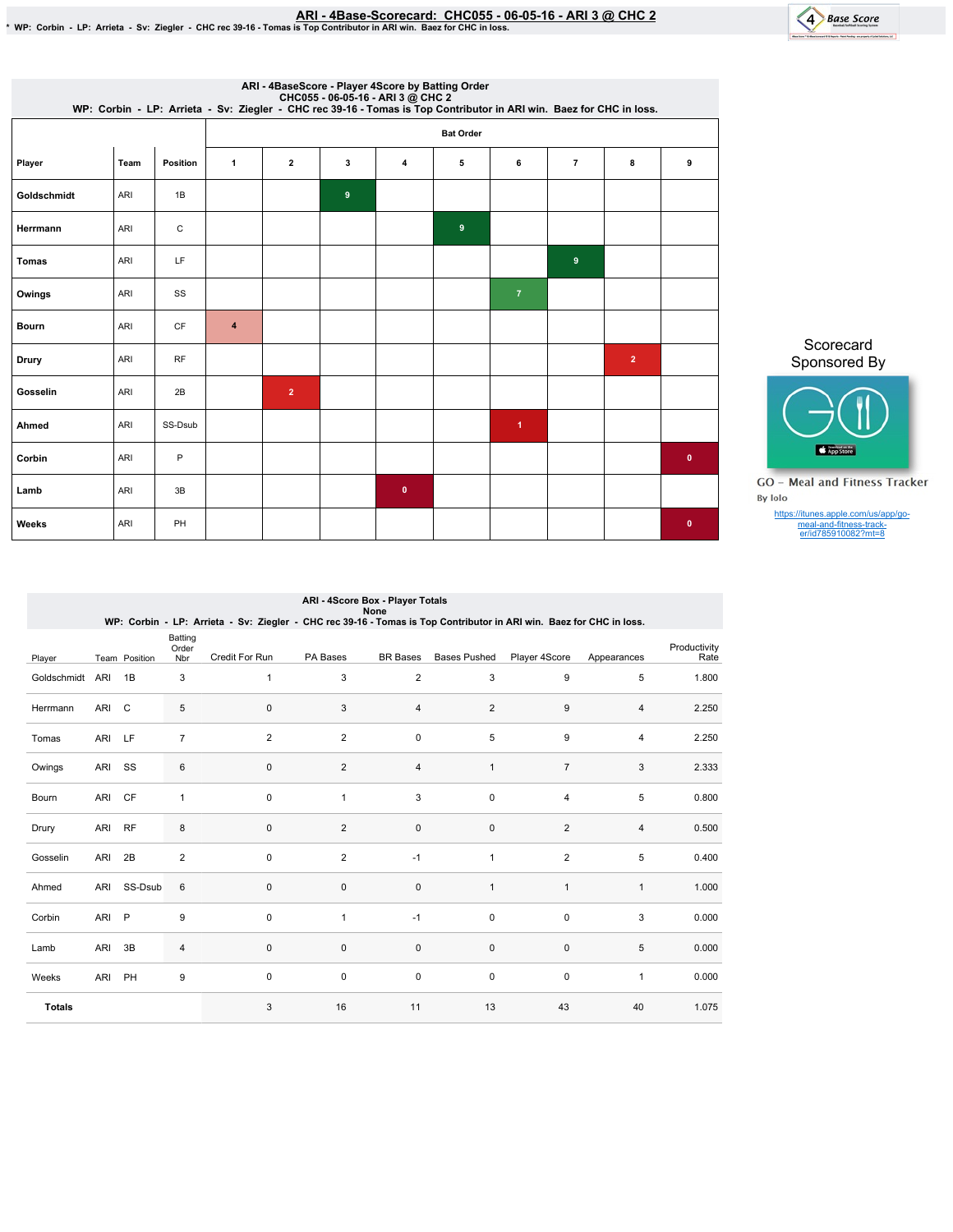<u>ARI - 4Base-Scorecard: CHC055 - 06-05-16 - ARI3 @ CHC 2</u><br>\* WP: Corbin - LP: Arrieta - Sv: Ziegler - CHC rec 39-16 - Tomas is Top Contributor in ARI win. Baez for CHC in loss.



|                  | ARI - 4BaseScore - Player 4Score by Batting Order<br>CHC055 - 06-05-16 - ARI 3 @ CHC 2<br>WP: Corbin - LP: Arrieta - Sv: Ziegler - CHC rec 39-16 - Tomas is Top Contributor in ARI win. Baez for CHC in loss. |                 |                |                         |   |           |     |                |                |                |              |  |  |
|------------------|---------------------------------------------------------------------------------------------------------------------------------------------------------------------------------------------------------------|-----------------|----------------|-------------------------|---|-----------|-----|----------------|----------------|----------------|--------------|--|--|
| <b>Bat Order</b> |                                                                                                                                                                                                               |                 |                |                         |   |           |     |                |                |                |              |  |  |
| Player           | Team                                                                                                                                                                                                          | <b>Position</b> | $\mathbf{1}$   | $\overline{\mathbf{2}}$ | 3 | 4         | 5   | 6              | $\overline{7}$ | 8              | 9            |  |  |
| Goldschmidt      | ARI                                                                                                                                                                                                           | 1B              |                |                         | 9 |           |     |                |                |                |              |  |  |
| Herrmann         | ARI                                                                                                                                                                                                           | С               |                |                         |   |           | $9$ |                |                |                |              |  |  |
| <b>Tomas</b>     | ARI                                                                                                                                                                                                           | LF              |                |                         |   |           |     |                | 9              |                |              |  |  |
| Owings           | ARI                                                                                                                                                                                                           | SS              |                |                         |   |           |     | $\overline{7}$ |                |                |              |  |  |
| <b>Bourn</b>     | ARI                                                                                                                                                                                                           | CF              | $\overline{4}$ |                         |   |           |     |                |                |                |              |  |  |
| Drury            | ARI                                                                                                                                                                                                           | RF              |                |                         |   |           |     |                |                | $\overline{2}$ |              |  |  |
| Gosselin         | ARI                                                                                                                                                                                                           | 2B              |                | $\overline{2}$          |   |           |     |                |                |                |              |  |  |
| Ahmed            | ARI                                                                                                                                                                                                           | SS-Dsub         |                |                         |   |           |     | $\overline{1}$ |                |                |              |  |  |
| Corbin           | ARI                                                                                                                                                                                                           | P               |                |                         |   |           |     |                |                |                | $\mathbf{0}$ |  |  |
| Lamb             | ARI                                                                                                                                                                                                           | 3B              |                |                         |   | $\bullet$ |     |                |                |                |              |  |  |
| Weeks            | ARI                                                                                                                                                                                                           | PH              |                |                         |   |           |     |                |                |                | $\mathbf{0}$ |  |  |

Scorecard Sponsored By



**GO** - Meal and Fitness Tracker By Iolo

https://itunes.apple.com/us/app/go-meal-and-fitness-track-er/id785910082?mt=8

|               | ARI - 4Score Box - Player Totals<br>None<br>WP: Corbin - LP: Arrieta - Sv: Ziegler - CHC rec 39-16 - Tomas is Top Contributor in ARI win. Baez for CHC in loss. |               |                  |                |                |                 |                     |                |                |              |  |  |  |
|---------------|-----------------------------------------------------------------------------------------------------------------------------------------------------------------|---------------|------------------|----------------|----------------|-----------------|---------------------|----------------|----------------|--------------|--|--|--|
|               |                                                                                                                                                                 |               | Batting<br>Order |                |                |                 |                     |                |                | Productivity |  |  |  |
| Player        |                                                                                                                                                                 | Team Position | Nbr              | Credit For Run | PA Bases       | <b>BR</b> Bases | <b>Bases Pushed</b> | Player 4Score  | Appearances    | Rate         |  |  |  |
| Goldschmidt   | ARI                                                                                                                                                             | 1B            | 3                | $\mathbf{1}$   | 3              | $\overline{2}$  | 3                   | 9              | 5              | 1.800        |  |  |  |
| Herrmann      | ARI                                                                                                                                                             | $\mathsf{C}$  | 5                | $\mathbf 0$    | 3              | $\overline{4}$  | 2                   | 9              | $\overline{4}$ | 2.250        |  |  |  |
| Tomas         | ARI LF                                                                                                                                                          |               | $\overline{7}$   | $\overline{2}$ | $\overline{2}$ | 0               | 5                   | 9              | 4              | 2.250        |  |  |  |
| Owings        | ARI                                                                                                                                                             | SS            | 6                | $\mathbf 0$    | $\overline{2}$ | $\overline{4}$  | $\mathbf{1}$        | $\overline{7}$ | 3              | 2.333        |  |  |  |
| Bourn         | ARI                                                                                                                                                             | CF            | 1                | $\pmb{0}$      | 1              | 3               | $\mathbf 0$         | $\overline{4}$ | 5              | 0.800        |  |  |  |
| Drury         | ARI                                                                                                                                                             | <b>RF</b>     | 8                | $\pmb{0}$      | $\overline{2}$ | $\mathbf 0$     | $\pmb{0}$           | $\overline{2}$ | 4              | 0.500        |  |  |  |
| Gosselin      | ARI                                                                                                                                                             | 2B            | $\overline{2}$   | $\pmb{0}$      | $\overline{c}$ | $-1$            | $\mathbf{1}$        | $\overline{2}$ | 5              | 0.400        |  |  |  |
| Ahmed         | ARI                                                                                                                                                             | SS-Dsub       | 6                | $\mathbf 0$    | 0              | $\mathbf{0}$    | $\mathbf{1}$        | $\mathbf{1}$   | $\mathbf{1}$   | 1.000        |  |  |  |
| Corbin        | ARI                                                                                                                                                             | $\mathsf{P}$  | 9                | $\pmb{0}$      | $\mathbf{1}$   | $-1$            | $\mathbf 0$         | $\mathbf 0$    | 3              | 0.000        |  |  |  |
| Lamb          | ARI                                                                                                                                                             | 3B            | 4                | $\mathbf 0$    | 0              | $\mathbf{0}$    | $\mathbf 0$         | $\mathbf 0$    | 5              | 0.000        |  |  |  |
| Weeks         | ARI                                                                                                                                                             | PH            | 9                | $\pmb{0}$      | 0              | 0               | $\mathbf 0$         | 0              | $\mathbf{1}$   | 0.000        |  |  |  |
| <b>Totals</b> |                                                                                                                                                                 |               |                  | 3              | 16             | 11              | 13                  | 43             | 40             | 1.075        |  |  |  |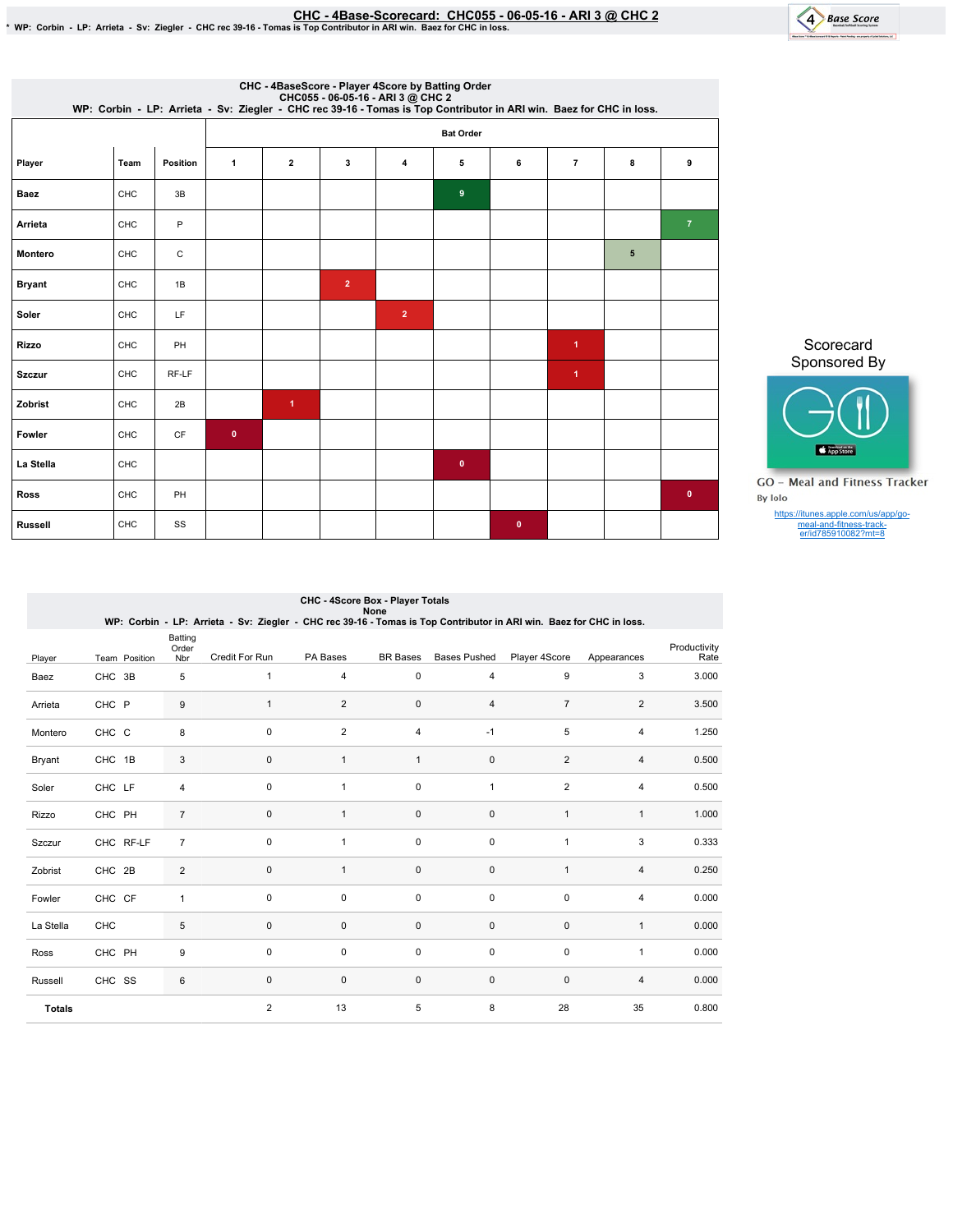EHC - 4Base-Scorecard: CHC055 - 06-05-16 - ARI 3 @ CHC 2 \* لاكتاب CHC - 4Base-Scorecard: CHC055 - 06-05-16 - ARI<br>\* WP: Corbin - LP: Arrieta - Sv: Ziegler - CHC rec 39-16 - Tomas is Top Contributor in ARI win. Baez for CHC



|                | CHC - 4BaseScore - Player 4Score by Batting Order<br>CHC055 - 06-05-16 - ARI 3 @ CHC 2 MP: Corbin - LP: Arrieta - Sv: Ziegler - CHC rec 39-16 - Tomas is Top Contributor in ARI win. Baez for CHC in loss. |             |              |                         |                |                |                  |              |                      |   |                |  |  |
|----------------|------------------------------------------------------------------------------------------------------------------------------------------------------------------------------------------------------------|-------------|--------------|-------------------------|----------------|----------------|------------------|--------------|----------------------|---|----------------|--|--|
|                |                                                                                                                                                                                                            |             |              |                         |                |                | <b>Bat Order</b> |              |                      |   |                |  |  |
| Player         | Team                                                                                                                                                                                                       | Position    | $\mathbf{1}$ | $\overline{\mathbf{2}}$ | 3              | 4              | 5                | 6            | $\overline{7}$       | 8 | 9              |  |  |
| <b>Baez</b>    | CHC                                                                                                                                                                                                        | 3B          |              |                         |                |                | $\overline{9}$   |              |                      |   |                |  |  |
| Arrieta        | CHC                                                                                                                                                                                                        | P           |              |                         |                |                |                  |              |                      |   | $\overline{7}$ |  |  |
| Montero        | CHC                                                                                                                                                                                                        | $\mathsf C$ |              |                         |                |                |                  |              |                      | 5 |                |  |  |
| <b>Bryant</b>  | CHC                                                                                                                                                                                                        | 1B          |              |                         | $\overline{2}$ |                |                  |              |                      |   |                |  |  |
| Soler          | CHC                                                                                                                                                                                                        | LF          |              |                         |                | $\overline{2}$ |                  |              |                      |   |                |  |  |
| <b>Rizzo</b>   | CHC                                                                                                                                                                                                        | PH          |              |                         |                |                |                  |              | $\blacktriangleleft$ |   |                |  |  |
| <b>Szczur</b>  | CHC                                                                                                                                                                                                        | RF-LF       |              |                         |                |                |                  |              | $\blacktriangleleft$ |   |                |  |  |
| Zobrist        | CHC                                                                                                                                                                                                        | 2B          |              | $\blacktriangleleft$    |                |                |                  |              |                      |   |                |  |  |
| Fowler         | CHC                                                                                                                                                                                                        | <b>CF</b>   | $\bullet$    |                         |                |                |                  |              |                      |   |                |  |  |
| La Stella      | CHC                                                                                                                                                                                                        |             |              |                         |                |                | $\bullet$        |              |                      |   |                |  |  |
| <b>Ross</b>    | CHC                                                                                                                                                                                                        | PH          |              |                         |                |                |                  |              |                      |   | $\bullet$      |  |  |
| <b>Russell</b> | CHC                                                                                                                                                                                                        | SS          |              |                         |                |                |                  | $\mathbf{0}$ |                      |   |                |  |  |





**GO** - Meal and Fitness Tracker By Iolo



## CHC - 4Score Box - Player Totals

|               | None<br>WP: Corbin - LP: Arrieta - Sv: Ziegler - CHC rec 39-16 - Tomas is Top Contributor in ARI win. Baez for CHC in loss. |                         |                         |                |                 |                     |                |                |                      |  |  |  |  |
|---------------|-----------------------------------------------------------------------------------------------------------------------------|-------------------------|-------------------------|----------------|-----------------|---------------------|----------------|----------------|----------------------|--|--|--|--|
| Player        | Team Position                                                                                                               | Batting<br>Order<br>Nbr | Credit For Run          | PA Bases       | <b>BR</b> Bases | <b>Bases Pushed</b> | Player 4Score  | Appearances    | Productivity<br>Rate |  |  |  |  |
| Baez          | CHC 3B                                                                                                                      | 5                       | 1                       | 4              | 0               | 4                   | 9              | 3              | 3.000                |  |  |  |  |
| Arrieta       | CHC P                                                                                                                       | 9                       | 1                       | $\overline{2}$ | 0               | 4                   | $\overline{7}$ | $\overline{2}$ | 3.500                |  |  |  |  |
| Montero       | CHC C                                                                                                                       | 8                       | 0                       | $\overline{2}$ | 4               | $-1$                | 5              | 4              | 1.250                |  |  |  |  |
| Bryant        | CHC 1B                                                                                                                      | 3                       | 0                       | 1              | $\overline{1}$  | $\mathbf 0$         | $\overline{c}$ | 4              | 0.500                |  |  |  |  |
| Soler         | CHC LF                                                                                                                      | 4                       | 0                       | 1              | $\pmb{0}$       | $\mathbf{1}$        | $\overline{2}$ | 4              | 0.500                |  |  |  |  |
| Rizzo         | CHC PH                                                                                                                      | $\overline{7}$          | 0                       | 1              | $\pmb{0}$       | $\pmb{0}$           | $\mathbf{1}$   | $\mathbf{1}$   | 1.000                |  |  |  |  |
| Szczur        | CHC RF-LF                                                                                                                   | $\overline{7}$          | 0                       | 1              | $\mathbf 0$     | $\mathbf 0$         | $\mathbf{1}$   | 3              | 0.333                |  |  |  |  |
| Zobrist       | CHC 2B                                                                                                                      | $\overline{c}$          | 0                       | 1              | $\pmb{0}$       | $\pmb{0}$           | $\mathbf{1}$   | 4              | 0.250                |  |  |  |  |
| Fowler        | CHC CF                                                                                                                      | 1                       | 0                       | 0              | $\mathbf 0$     | 0                   | 0              | 4              | 0.000                |  |  |  |  |
| La Stella     | CHC                                                                                                                         | 5                       | 0                       | 0              | $\pmb{0}$       | $\pmb{0}$           | $\pmb{0}$      | $\mathbf{1}$   | 0.000                |  |  |  |  |
| Ross          | CHC PH                                                                                                                      | 9                       | 0                       | 0              | $\pmb{0}$       | $\pmb{0}$           | $\pmb{0}$      | $\mathbf{1}$   | 0.000                |  |  |  |  |
| Russell       | CHC SS                                                                                                                      | 6                       | 0                       | 0              | $\pmb{0}$       | $\pmb{0}$           | $\pmb{0}$      | 4              | 0.000                |  |  |  |  |
| <b>Totals</b> |                                                                                                                             |                         | $\overline{\mathbf{c}}$ | 13             | 5               | 8                   | 28             | 35             | 0.800                |  |  |  |  |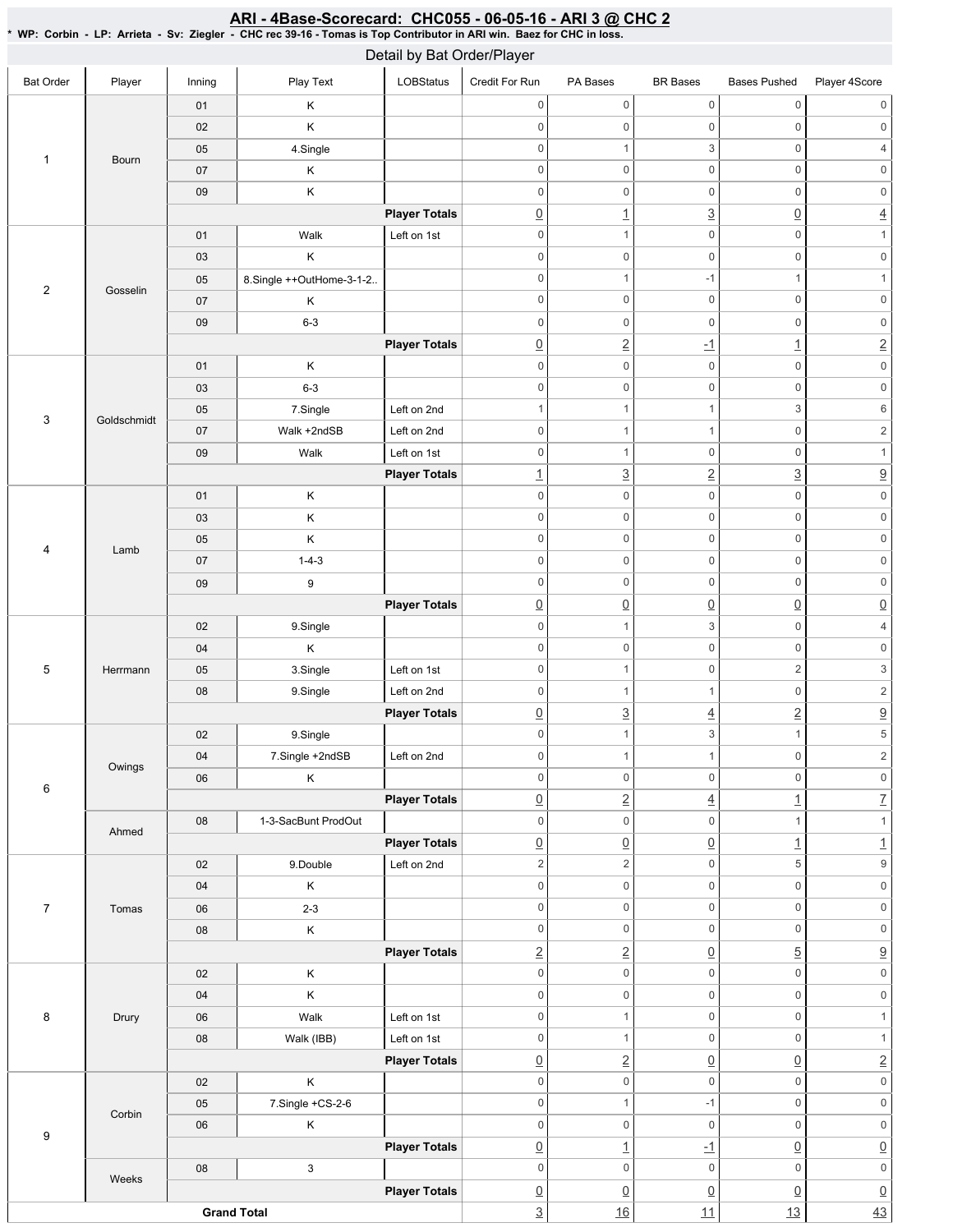### <u> ARI - 4Base-Scorecard: CHC055 - 06-05-16 - ARI 3 @ CHC 2</u>

\* WP: Corbin - LP: Arrieta - Sv: Ziegler - CHC rec 39-16 - Tomas is Top Contributor in ARI win. Baez for CHC in loss.

|                  | Detail by Bat Order/Player |                    |                           |                                     |                               |                                   |                                        |                              |                                              |  |  |  |  |
|------------------|----------------------------|--------------------|---------------------------|-------------------------------------|-------------------------------|-----------------------------------|----------------------------------------|------------------------------|----------------------------------------------|--|--|--|--|
| <b>Bat Order</b> | Player                     | Inning             | Play Text                 | <b>LOBStatus</b>                    | Credit For Run                | PA Bases                          | <b>BR</b> Bases                        | <b>Bases Pushed</b>          | Player 4Score                                |  |  |  |  |
|                  |                            | 01                 | K                         |                                     | $\mathbf 0$                   | 0                                 | $\mathsf{O}\xspace$                    | $\mathbb O$                  | $\mathsf{0}$                                 |  |  |  |  |
|                  |                            | 02                 | Κ                         |                                     | $\boldsymbol{0}$              | 0                                 | $\mathsf 0$                            | $\mathbf 0$                  | $\mathbb O$                                  |  |  |  |  |
|                  |                            | 05                 | 4.Single                  |                                     | $\mathbf 0$                   | $\mathbf{1}$                      | 3                                      | $\mathbb O$                  | $\overline{4}$                               |  |  |  |  |
| $\mathbf{1}$     | Bourn                      | 07                 | $\sf K$                   |                                     | $\mathbf 0$                   | $\mathbf 0$                       | $\mathsf 0$                            | $\mathbf 0$                  | $\mathbb O$                                  |  |  |  |  |
|                  |                            | 09                 | Κ                         |                                     | $\mathbf 0$                   | $\mathsf 0$                       | $\mathsf 0$                            | $\mathbb O$                  | $\mathsf{O}\xspace$                          |  |  |  |  |
|                  |                            |                    |                           | <b>Player Totals</b>                | $\underline{0}$               | $\overline{1}$                    | $\overline{3}$                         | $\underline{0}$              | $\overline{4}$                               |  |  |  |  |
|                  |                            | 01                 | Walk                      | Left on 1st                         | $\mathbf 0$                   | $\mathbf{1}$                      | $\mathbf 0$                            | $\mathbb O$                  | $\mathbf{1}$                                 |  |  |  |  |
|                  |                            | 03                 | Κ                         |                                     | $\mathbf 0$                   | $\mathsf{O}\xspace$               | $\mathsf 0$                            | $\mathbb O$                  | $\mathsf{O}\xspace$                          |  |  |  |  |
| $\overline{2}$   | Gosselin                   | 05                 | 8.Single ++OutHome-3-1-2  |                                     | $\pmb{0}$                     | $\mathbf{1}$                      | $-1$                                   | $\mathbf{1}$                 | $\mathbf{1}$                                 |  |  |  |  |
|                  |                            | 07                 | Κ                         |                                     | $\mathbf 0$                   | $\mathbf 0$                       | $\mathbf 0$                            | $\mathbf 0$                  | $\mathsf{0}$                                 |  |  |  |  |
|                  |                            | 09                 | $6 - 3$                   |                                     | $\mathbf 0$                   | $\mathsf{O}\xspace$               | $\mathbf 0$                            | $\mathbb O$                  | $\mathsf{0}$                                 |  |  |  |  |
|                  |                            |                    |                           | <b>Player Totals</b>                | $\underline{0}$               | $\underline{2}$                   | $\overline{-1}$                        | $\overline{1}$               | $\underline{2}$                              |  |  |  |  |
|                  |                            | 01                 | K                         |                                     | $\mathbf 0$                   | $\mathbf 0$                       | $\mathsf 0$                            | $\mathbb O$                  | $\mathsf{O}\xspace$                          |  |  |  |  |
|                  |                            | 03                 | $6 - 3$                   |                                     | $\mathbf 0$                   | $\mathsf{O}\xspace$               | $\mathsf 0$                            | $\mathbf 0$                  | $\mathsf{0}$                                 |  |  |  |  |
| 3                | Goldschmidt                | 05                 | 7.Single                  | Left on 2nd                         | $\mathbf{1}$                  | $\mathbf{1}$                      | $\mathbf{1}$                           | $\ensuremath{\mathsf{3}}$    | $\,6\,$                                      |  |  |  |  |
|                  |                            | 07                 | Walk +2ndSB               | Left on 2nd                         | $\mathbf 0$                   | $\mathbf{1}$                      | $\mathbf{1}$                           | $\mathbf 0$                  | $\overline{c}$                               |  |  |  |  |
|                  |                            | 09                 | Walk                      | Left on 1st                         | $\mathbf 0$                   | $\mathbf{1}$                      | $\mathsf 0$                            | $\mathbb O$                  | $\mathbf{1}$                                 |  |  |  |  |
|                  |                            |                    |                           | <b>Player Totals</b>                | $\underline{\mathbf{1}}$      | $\underline{3}$                   | $\overline{2}$                         | $\underline{3}$              | $\overline{\partial}$                        |  |  |  |  |
|                  |                            | 01                 | K                         |                                     | $\mathbf 0$                   | $\mathbf 0$                       | $\mathbf 0$                            | $\mathbb O$                  | $\mathsf{O}\xspace$                          |  |  |  |  |
|                  |                            | 03                 | Κ                         |                                     | $\mathbf 0$                   | $\mathsf{O}\xspace$               | $\mathsf 0$                            | $\mathbb O$                  | $\mathsf{O}\xspace$                          |  |  |  |  |
| 4                | Lamb                       | 05                 | Κ                         |                                     | $\mathbf 0$                   | $\mathsf 0$                       | $\mathsf 0$                            | $\mathbf 0$                  | $\mathsf{O}\xspace$                          |  |  |  |  |
|                  |                            | 07                 | $1 - 4 - 3$               |                                     | $\mathbf 0$                   | $\mathsf{O}\xspace$               | $\mathbf 0$                            | $\mathbf 0$                  | $\mathsf{0}$                                 |  |  |  |  |
|                  |                            | 09                 | 9                         |                                     | $\mathbf 0$                   | $\mathsf 0$                       | $\mathbf 0$                            | $\mathbb O$                  | $\mathsf{0}$                                 |  |  |  |  |
|                  |                            |                    |                           | <b>Player Totals</b>                | $\underline{0}$               | $\underline{0}$                   | $\underline{0}$                        | $\underline{0}$              | $\underline{0}$                              |  |  |  |  |
|                  |                            | 02                 | 9.Single                  |                                     | $\mathbf 0$                   | $\mathbf{1}$                      | $\ensuremath{\mathsf{3}}$              | $\mathbb O$                  | $\overline{4}$                               |  |  |  |  |
|                  |                            | 04                 | Κ                         |                                     | $\mathbf 0$                   | 0                                 | $\mathbf 0$                            | $\mathbb O$                  | $\mathsf{O}\xspace$                          |  |  |  |  |
| 5                | Herrmann                   | 05                 | 3.Single                  | Left on 1st                         | $\mathbf 0$                   | $\mathbf{1}$                      | $\mathbf 0$                            | $\sqrt{2}$                   | $\ensuremath{\mathsf{3}}$                    |  |  |  |  |
|                  |                            | 08                 | 9.Single                  | Left on 2nd                         | $\mathbf 0$                   | $\mathbf{1}$                      | $\mathbf{1}$                           | $\mathbb O$                  | $\overline{c}$                               |  |  |  |  |
|                  |                            |                    |                           | <b>Player Totals</b>                | $\underline{0}$               | $\underline{3}$                   | $\overline{4}$                         | $\overline{2}$               | $\overline{\partial}$                        |  |  |  |  |
|                  | Owings                     | 02                 | 9.Single                  |                                     | $\mathbf 0$                   | $\mathbf{1}$                      | 3                                      | $\mathbf{1}$                 | 5                                            |  |  |  |  |
|                  |                            | $04\,$             | 7.Single +2ndSB           | Left on 2nd                         | $\mathsf 0$                   | $\mathbf{1}$                      | $\mathbf{1}$                           | $\mathbb O$                  | $\overline{2}$                               |  |  |  |  |
| $\,6\,$          |                            | 06                 | $\sf K$                   |                                     | $\mathsf 0$                   | $\mathbf 0$                       | $\mathsf{O}\xspace$                    | $\mathsf{O}\xspace$          | $\mathsf{0}$                                 |  |  |  |  |
|                  |                            |                    |                           | <b>Player Totals</b>                | $\underline{0}$               | $\underline{2}$                   | $\overline{4}$                         | $\overline{1}$               | $\underline{7}$                              |  |  |  |  |
|                  | Ahmed                      | 08                 | 1-3-SacBunt ProdOut       |                                     | $\mathsf 0$                   | $\mathsf{O}\xspace$               | $\mathsf{O}\xspace$                    | $\mathbf{1}$                 | $\mathbf{1}$                                 |  |  |  |  |
|                  |                            | 02                 | 9.Double                  | <b>Player Totals</b><br>Left on 2nd | $\underline{0}$<br>$\sqrt{2}$ | $\underline{0}$<br>$\overline{2}$ | $\underline{0}$<br>$\mathsf{O}\xspace$ | $\overline{1}$<br>$\sqrt{5}$ | $\underline{\mathbf{1}}$<br>$\boldsymbol{9}$ |  |  |  |  |
|                  |                            | 04                 | Κ                         |                                     | $\mathsf 0$                   | $\mathbf 0$                       | $\mathsf 0$                            | $\mathbb O$                  | $\mathsf{0}$                                 |  |  |  |  |
| $\overline{7}$   | Tomas                      | 06                 | $2 - 3$                   |                                     | $\mathbf 0$                   | $\mathbf 0$                       | $\mathsf{O}\xspace$                    | $\mathbf 0$                  | $\mathsf{0}$                                 |  |  |  |  |
|                  |                            | 08                 | Κ                         |                                     | $\mathsf 0$                   | $\mathbf 0$                       | $\mathsf{O}\xspace$                    | $\mathbf 0$                  | $\mathsf{0}$                                 |  |  |  |  |
|                  |                            |                    |                           | <b>Player Totals</b>                | $\underline{2}$               | $\underline{2}$                   | $\underline{0}$                        | $\overline{5}$               | $\underline{9}$                              |  |  |  |  |
|                  |                            | 02                 | Κ                         |                                     | $\mathbf 0$                   | $\mathbf 0$                       | $\mathbf 0$                            | $\mathbf 0$                  | $\mathsf{O}\xspace$                          |  |  |  |  |
|                  |                            | 04                 | $\sf K$                   |                                     | $\mathsf 0$                   | $\mathbf 0$                       | $\mathsf{O}\xspace$                    | $\mathbf 0$                  | $\mathsf{O}\xspace$                          |  |  |  |  |
| 8                | Drury                      | 06                 | Walk                      | Left on 1st                         | $\mathsf 0$                   | $\mathbf{1}$                      | $\mathsf{O}\xspace$                    | $\mathbb O$                  | $\mathbf{1}$                                 |  |  |  |  |
|                  |                            | 08                 | Walk (IBB)                | Left on 1st                         | $\mathbf 0$                   | $\mathbf{1}$                      | $\mathsf 0$                            | $\mathbb O$                  | $\mathbf{1}$                                 |  |  |  |  |
|                  |                            |                    |                           | <b>Player Totals</b>                | $\underline{0}$               | $\underline{2}$                   | $\underline{0}$                        | $\underline{0}$              | $\underline{2}$                              |  |  |  |  |
|                  |                            | 02                 | $\sf K$                   |                                     | $\mathsf 0$                   | $\mathbf 0$                       | $\mathsf{O}\xspace$                    | $\mathbf 0$                  | $\mathsf{O}\xspace$                          |  |  |  |  |
|                  |                            | $05\,$             | 7.Single +CS-2-6          |                                     | $\mathbf 0$                   | $\mathbf{1}$                      | $-1$                                   | $\mathbf 0$                  | $\mathsf{O}\xspace$                          |  |  |  |  |
|                  | Corbin                     | 06                 | $\sf K$                   |                                     | $\mathsf 0$                   | $\mathbf 0$                       | $\mathsf{O}\xspace$                    | $\mathbb O$                  | $\mathsf{O}\xspace$                          |  |  |  |  |
| 9                |                            |                    |                           | <b>Player Totals</b>                | $\underline{0}$               | $\overline{1}$                    | $\overline{-1}$                        | $\underline{0}$              | $\underline{0}$                              |  |  |  |  |
|                  |                            | 08                 | $\ensuremath{\mathsf{3}}$ |                                     | $\mathbf 0$                   | $\mathbf 0$                       | $\mathsf{O}\xspace$                    | $\mathbb O$                  | $\mathsf{O}\xspace$                          |  |  |  |  |
|                  | Weeks                      |                    |                           | <b>Player Totals</b>                | $\underline{0}$               | $\underline{0}$                   | $\underline{0}$                        | $\underline{0}$              | $\underline{0}$                              |  |  |  |  |
|                  |                            | <b>Grand Total</b> |                           |                                     | $\overline{3}$                | 16                                | 11                                     | 13                           | 43                                           |  |  |  |  |